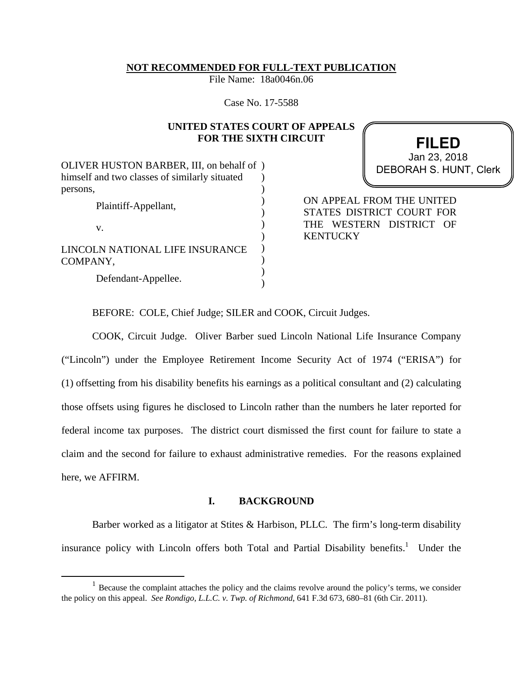## **NOT RECOMMENDED FOR FULL-TEXT PUBLICATION**

File Name: 18a0046n.06

Case No. 17-5588

# **UNITED STATES COURT OF APPEALS FOR THE SIXTH CIRCUIT**

OLIVER HUSTON BARBER, III, on behalf of ) himself and two classes of similarly situated persons, Plaintiff-Appellant, v. LINCOLN NATIONAL LIFE INSURANCE COMPANY, Defendant-Appellee.  $\lambda$ ) ) ) ) ) )  $\lambda$ ) )

**FILED** DEBORAH S. HUNT, Clerk Jan 23, 2018

ON APPEAL FROM THE UNITED STATES DISTRICT COURT FOR THE WESTERN DISTRICT OF **KENTUCKY** 

BEFORE: COLE, Chief Judge; SILER and COOK, Circuit Judges.

COOK, Circuit Judge. Oliver Barber sued Lincoln National Life Insurance Company ("Lincoln") under the Employee Retirement Income Security Act of 1974 ("ERISA") for (1) offsetting from his disability benefits his earnings as a political consultant and (2) calculating those offsets using figures he disclosed to Lincoln rather than the numbers he later reported for federal income tax purposes. The district court dismissed the first count for failure to state a claim and the second for failure to exhaust administrative remedies. For the reasons explained here, we AFFIRM.

## **I. BACKGROUND**

Barber worked as a litigator at Stites & Harbison, PLLC. The firm's long-term disability insurance policy with Lincoln offers both Total and Partial Disability benefits.<sup>1</sup> Under the

<sup>&</sup>lt;sup>1</sup> Because the complaint attaches the policy and the claims revolve around the policy's terms, we consider the policy on this appeal. *See Rondigo, L.L.C. v. Twp. of Richmond*, 641 F.3d 673, 680–81 (6th Cir. 2011).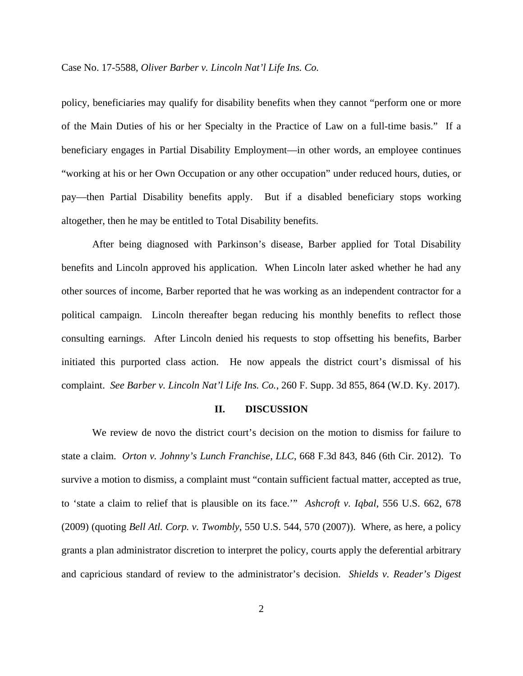policy, beneficiaries may qualify for disability benefits when they cannot "perform one or more of the Main Duties of his or her Specialty in the Practice of Law on a full-time basis." If a beneficiary engages in Partial Disability Employment––in other words, an employee continues "working at his or her Own Occupation or any other occupation" under reduced hours, duties, or pay––then Partial Disability benefits apply. But if a disabled beneficiary stops working altogether, then he may be entitled to Total Disability benefits.

After being diagnosed with Parkinson's disease, Barber applied for Total Disability benefits and Lincoln approved his application. When Lincoln later asked whether he had any other sources of income, Barber reported that he was working as an independent contractor for a political campaign. Lincoln thereafter began reducing his monthly benefits to reflect those consulting earnings. After Lincoln denied his requests to stop offsetting his benefits, Barber initiated this purported class action. He now appeals the district court's dismissal of his complaint. *See Barber v. Lincoln Nat'l Life Ins. Co.*, 260 F. Supp. 3d 855, 864 (W.D. Ky. 2017).

#### **II. DISCUSSION**

We review de novo the district court's decision on the motion to dismiss for failure to state a claim. *Orton v. Johnny's Lunch Franchise, LLC*, 668 F.3d 843, 846 (6th Cir. 2012). To survive a motion to dismiss, a complaint must "contain sufficient factual matter, accepted as true, to 'state a claim to relief that is plausible on its face.'" *Ashcroft v. Iqbal*, 556 U.S. 662, 678 (2009) (quoting *Bell Atl. Corp. v. Twombly*, 550 U.S. 544, 570 (2007)). Where, as here, a policy grants a plan administrator discretion to interpret the policy, courts apply the deferential arbitrary and capricious standard of review to the administrator's decision. *Shields v. Reader's Digest*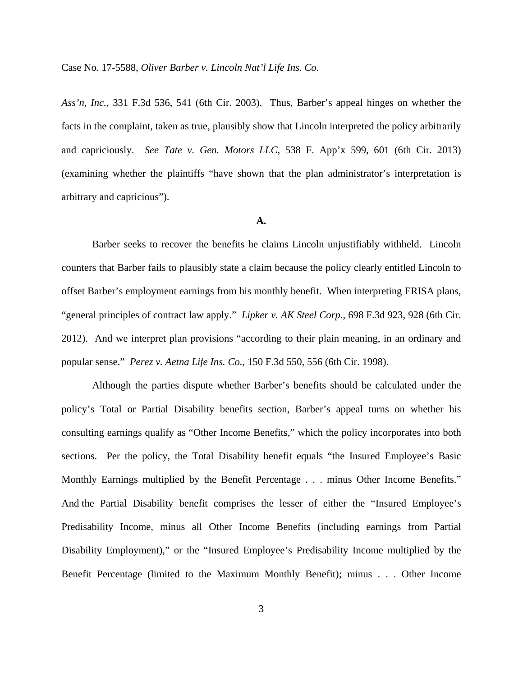*Ass'n, Inc.,* 331 F.3d 536, 541 (6th Cir. 2003). Thus, Barber's appeal hinges on whether the facts in the complaint, taken as true, plausibly show that Lincoln interpreted the policy arbitrarily and capriciously. *See Tate v. Gen. Motors LLC*, 538 F. App'x 599, 601 (6th Cir. 2013) (examining whether the plaintiffs "have shown that the plan administrator's interpretation is arbitrary and capricious").

## **A.**

Barber seeks to recover the benefits he claims Lincoln unjustifiably withheld. Lincoln counters that Barber fails to plausibly state a claim because the policy clearly entitled Lincoln to offset Barber's employment earnings from his monthly benefit. When interpreting ERISA plans, "general principles of contract law apply." *Lipker v. AK Steel Corp.*, 698 F.3d 923, 928 (6th Cir. 2012). And we interpret plan provisions "according to their plain meaning, in an ordinary and popular sense." *Perez v. Aetna Life Ins. Co.*, 150 F.3d 550, 556 (6th Cir. 1998).

Although the parties dispute whether Barber's benefits should be calculated under the policy's Total or Partial Disability benefits section, Barber's appeal turns on whether his consulting earnings qualify as "Other Income Benefits," which the policy incorporates into both sections. Per the policy, the Total Disability benefit equals "the Insured Employee's Basic Monthly Earnings multiplied by the Benefit Percentage . . . minus Other Income Benefits." And the Partial Disability benefit comprises the lesser of either the "Insured Employee's Predisability Income, minus all Other Income Benefits (including earnings from Partial Disability Employment)," or the "Insured Employee's Predisability Income multiplied by the Benefit Percentage (limited to the Maximum Monthly Benefit); minus . . . Other Income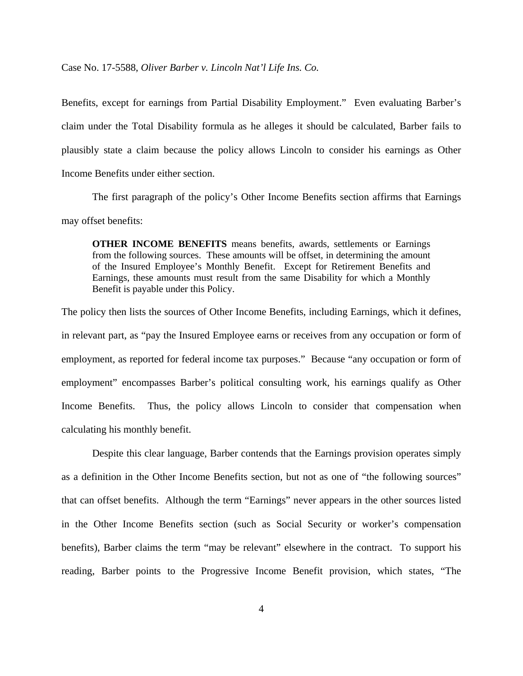Benefits, except for earnings from Partial Disability Employment." Even evaluating Barber's claim under the Total Disability formula as he alleges it should be calculated, Barber fails to plausibly state a claim because the policy allows Lincoln to consider his earnings as Other Income Benefits under either section.

The first paragraph of the policy's Other Income Benefits section affirms that Earnings may offset benefits:

**OTHER INCOME BENEFITS** means benefits, awards, settlements or Earnings from the following sources. These amounts will be offset, in determining the amount of the Insured Employee's Monthly Benefit. Except for Retirement Benefits and Earnings, these amounts must result from the same Disability for which a Monthly Benefit is payable under this Policy.

The policy then lists the sources of Other Income Benefits, including Earnings, which it defines, in relevant part, as "pay the Insured Employee earns or receives from any occupation or form of employment, as reported for federal income tax purposes." Because "any occupation or form of employment" encompasses Barber's political consulting work, his earnings qualify as Other Income Benefits. Thus, the policy allows Lincoln to consider that compensation when calculating his monthly benefit.

 Despite this clear language, Barber contends that the Earnings provision operates simply as a definition in the Other Income Benefits section, but not as one of "the following sources" that can offset benefits. Although the term "Earnings" never appears in the other sources listed in the Other Income Benefits section (such as Social Security or worker's compensation benefits), Barber claims the term "may be relevant" elsewhere in the contract. To support his reading, Barber points to the Progressive Income Benefit provision, which states, "The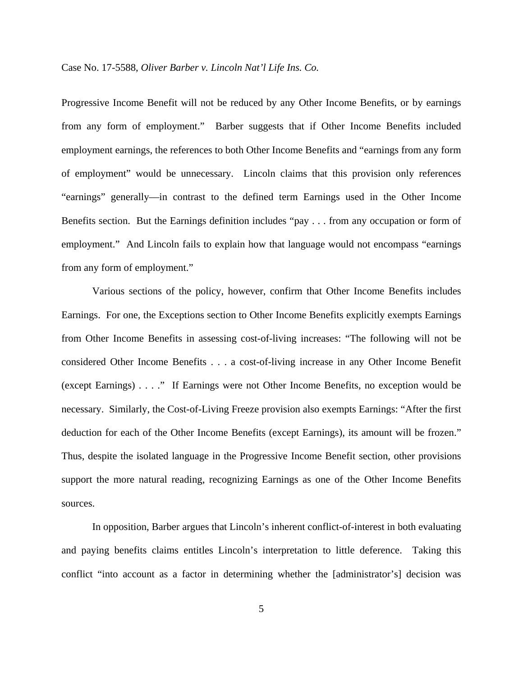Progressive Income Benefit will not be reduced by any Other Income Benefits, or by earnings from any form of employment." Barber suggests that if Other Income Benefits included employment earnings, the references to both Other Income Benefits and "earnings from any form of employment" would be unnecessary. Lincoln claims that this provision only references "earnings" generally––in contrast to the defined term Earnings used in the Other Income Benefits section. But the Earnings definition includes "pay . . . from any occupation or form of employment." And Lincoln fails to explain how that language would not encompass "earnings from any form of employment."

Various sections of the policy, however, confirm that Other Income Benefits includes Earnings. For one, the Exceptions section to Other Income Benefits explicitly exempts Earnings from Other Income Benefits in assessing cost-of-living increases: "The following will not be considered Other Income Benefits . . . a cost-of-living increase in any Other Income Benefit (except Earnings) . . . ." If Earnings were not Other Income Benefits, no exception would be necessary. Similarly, the Cost-of-Living Freeze provision also exempts Earnings: "After the first deduction for each of the Other Income Benefits (except Earnings), its amount will be frozen." Thus, despite the isolated language in the Progressive Income Benefit section, other provisions support the more natural reading, recognizing Earnings as one of the Other Income Benefits sources.

In opposition, Barber argues that Lincoln's inherent conflict-of-interest in both evaluating and paying benefits claims entitles Lincoln's interpretation to little deference. Taking this conflict "into account as a factor in determining whether the [administrator's] decision was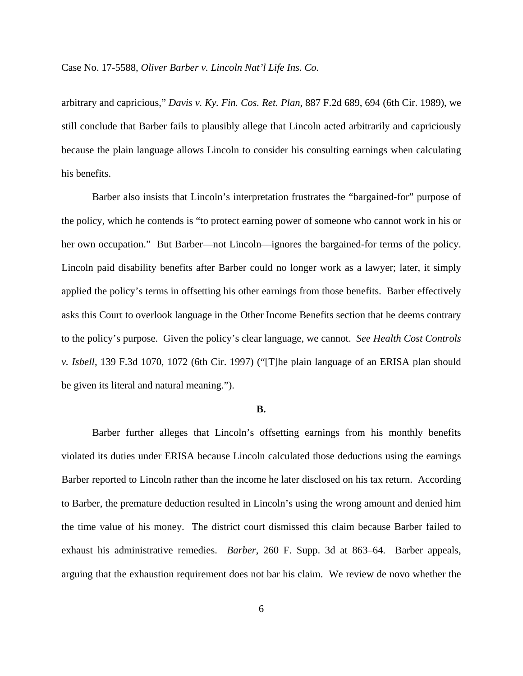arbitrary and capricious," *Davis v. Ky. Fin. Cos. Ret. Plan*, 887 F.2d 689, 694 (6th Cir. 1989), we still conclude that Barber fails to plausibly allege that Lincoln acted arbitrarily and capriciously because the plain language allows Lincoln to consider his consulting earnings when calculating his benefits.

Barber also insists that Lincoln's interpretation frustrates the "bargained-for" purpose of the policy, which he contends is "to protect earning power of someone who cannot work in his or her own occupation." But Barber—not Lincoln—ignores the bargained-for terms of the policy. Lincoln paid disability benefits after Barber could no longer work as a lawyer; later, it simply applied the policy's terms in offsetting his other earnings from those benefits. Barber effectively asks this Court to overlook language in the Other Income Benefits section that he deems contrary to the policy's purpose. Given the policy's clear language, we cannot. *See Health Cost Controls v. Isbell*, 139 F.3d 1070, 1072 (6th Cir. 1997) ("[T]he plain language of an ERISA plan should be given its literal and natural meaning.").

## **B.**

Barber further alleges that Lincoln's offsetting earnings from his monthly benefits violated its duties under ERISA because Lincoln calculated those deductions using the earnings Barber reported to Lincoln rather than the income he later disclosed on his tax return. According to Barber, the premature deduction resulted in Lincoln's using the wrong amount and denied him the time value of his money. The district court dismissed this claim because Barber failed to exhaust his administrative remedies. *Barber*, 260 F. Supp. 3d at 863–64. Barber appeals, arguing that the exhaustion requirement does not bar his claim. We review de novo whether the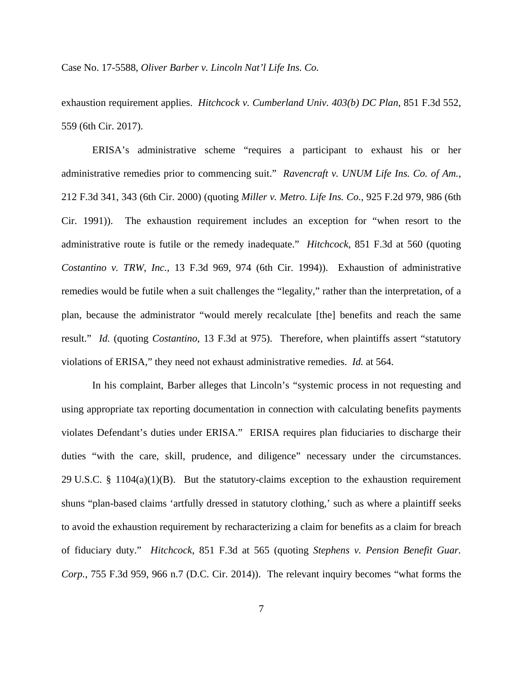exhaustion requirement applies. *Hitchcock v. Cumberland Univ. 403(b) DC Plan*, 851 F.3d 552, 559 (6th Cir. 2017).

ERISA's administrative scheme "requires a participant to exhaust his or her administrative remedies prior to commencing suit." *Ravencraft v. UNUM Life Ins. Co. of Am.*, 212 F.3d 341, 343 (6th Cir. 2000) (quoting *Miller v. Metro. Life Ins. Co.*, 925 F.2d 979, 986 (6th Cir. 1991)). The exhaustion requirement includes an exception for "when resort to the administrative route is futile or the remedy inadequate." *Hitchcock*, 851 F.3d at 560 (quoting *Costantino v. TRW, Inc.*, 13 F.3d 969, 974 (6th Cir. 1994)). Exhaustion of administrative remedies would be futile when a suit challenges the "legality," rather than the interpretation, of a plan, because the administrator "would merely recalculate [the] benefits and reach the same result." *Id.* (quoting *Costantino*, 13 F.3d at 975). Therefore, when plaintiffs assert "statutory violations of ERISA," they need not exhaust administrative remedies. *Id.* at 564.

In his complaint, Barber alleges that Lincoln's "systemic process in not requesting and using appropriate tax reporting documentation in connection with calculating benefits payments violates Defendant's duties under ERISA." ERISA requires plan fiduciaries to discharge their duties "with the care, skill, prudence, and diligence" necessary under the circumstances. 29 U.S.C. § 1104(a)(1)(B). But the statutory-claims exception to the exhaustion requirement shuns "plan-based claims 'artfully dressed in statutory clothing,' such as where a plaintiff seeks to avoid the exhaustion requirement by recharacterizing a claim for benefits as a claim for breach of fiduciary duty." *Hitchcock*, 851 F.3d at 565 (quoting *Stephens v. Pension Benefit Guar. Corp.*, 755 F.3d 959, 966 n.7 (D.C. Cir. 2014)). The relevant inquiry becomes "what forms the